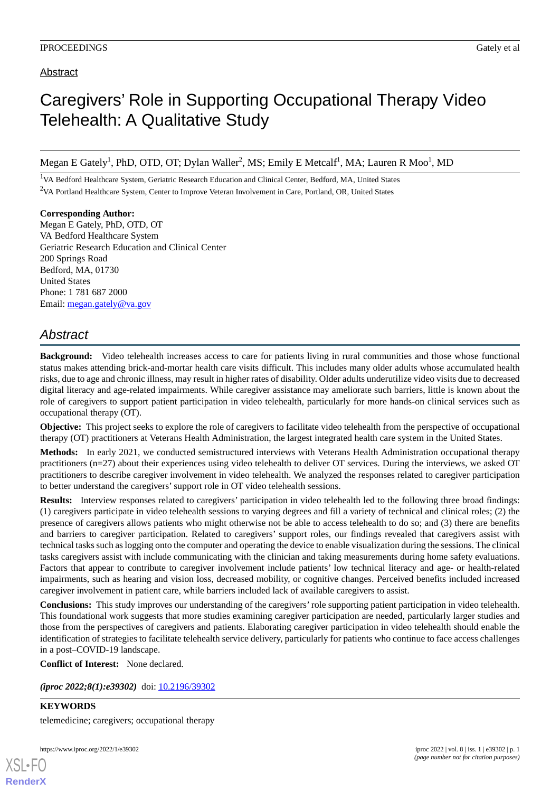## Abstract

## Caregivers' Role in Supporting Occupational Therapy Video Telehealth: A Qualitative Study

Megan E Gately<sup>1</sup>, PhD, OTD, OT; Dylan Waller<sup>2</sup>, MS; Emily E Metcalf<sup>1</sup>, MA; Lauren R Moo<sup>1</sup>, MD

<sup>1</sup>VA Bedford Healthcare System, Geriatric Research Education and Clinical Center, Bedford, MA, United States <sup>2</sup>VA Portland Healthcare System, Center to Improve Veteran Involvement in Care, Portland, OR, United States

**Corresponding Author:** Megan E Gately, PhD, OTD, OT VA Bedford Healthcare System Geriatric Research Education and Clinical Center 200 Springs Road Bedford, MA, 01730 United States Phone: 1 781 687 2000 Email: [megan.gately@va.gov](mailto:megan.gately@va.gov)

## *Abstract*

**Background:** Video telehealth increases access to care for patients living in rural communities and those whose functional status makes attending brick-and-mortar health care visits difficult. This includes many older adults whose accumulated health risks, due to age and chronic illness, may result in higher rates of disability. Older adults underutilize video visits due to decreased digital literacy and age-related impairments. While caregiver assistance may ameliorate such barriers, little is known about the role of caregivers to support patient participation in video telehealth, particularly for more hands-on clinical services such as occupational therapy (OT).

**Objective:** This project seeks to explore the role of caregivers to facilitate video telehealth from the perspective of occupational therapy (OT) practitioners at Veterans Health Administration, the largest integrated health care system in the United States.

**Methods:** In early 2021, we conducted semistructured interviews with Veterans Health Administration occupational therapy practitioners (n=27) about their experiences using video telehealth to deliver OT services. During the interviews, we asked OT practitioners to describe caregiver involvement in video telehealth. We analyzed the responses related to caregiver participation to better understand the caregivers'support role in OT video telehealth sessions.

**Results:** Interview responses related to caregivers' participation in video telehealth led to the following three broad findings: (1) caregivers participate in video telehealth sessions to varying degrees and fill a variety of technical and clinical roles; (2) the presence of caregivers allows patients who might otherwise not be able to access telehealth to do so; and (3) there are benefits and barriers to caregiver participation. Related to caregivers' support roles, our findings revealed that caregivers assist with technical tasks such as logging onto the computer and operating the device to enable visualization during the sessions. The clinical tasks caregivers assist with include communicating with the clinician and taking measurements during home safety evaluations. Factors that appear to contribute to caregiver involvement include patients' low technical literacy and age- or health-related impairments, such as hearing and vision loss, decreased mobility, or cognitive changes. Perceived benefits included increased caregiver involvement in patient care, while barriers included lack of available caregivers to assist.

**Conclusions:** This study improves our understanding of the caregivers'role supporting patient participation in video telehealth. This foundational work suggests that more studies examining caregiver participation are needed, particularly larger studies and those from the perspectives of caregivers and patients. Elaborating caregiver participation in video telehealth should enable the identification of strategies to facilitate telehealth service delivery, particularly for patients who continue to face access challenges in a post–COVID-19 landscape.

**Conflict of Interest:** None declared.

*(iproc 2022;8(1):e39302)* doi:  $10.2196/39302$ 

**KEYWORDS** telemedicine; caregivers; occupational therapy